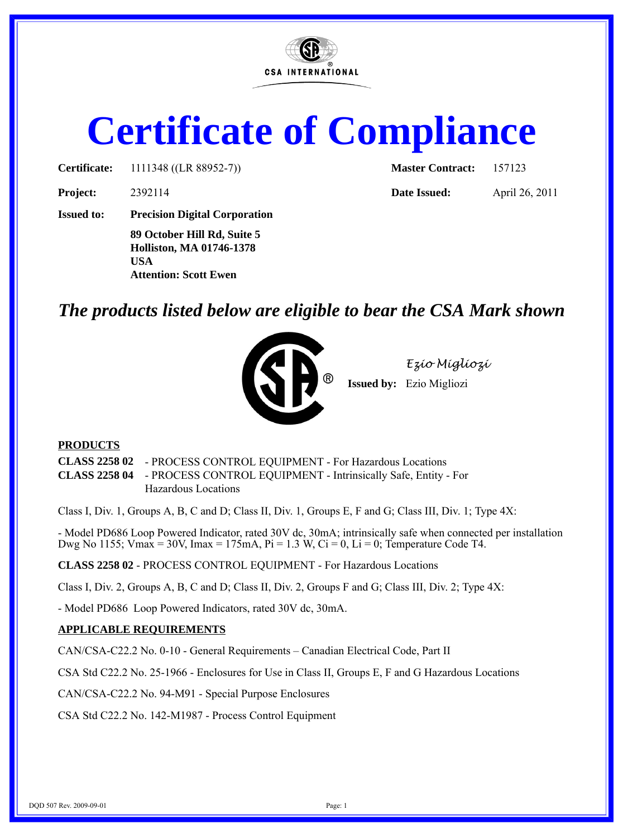

## **Certificate of Compliance**

**Certificate:** 1111348 ((LR 88952-7)) **Master Contract:** 157123

**Project:** 2392114 **Date Issued:** April 26, 2011

**Issued to: Precision Digital Corporation**

**89 October Hill Rd, Suite 5 Holliston, MA 01746-1378 USA Attention: Scott Ewen**

## *The products listed below are eligible to bear the CSA Mark shown*



*Ezio Migliozi*

**Issued by:** Ezio Migliozi

## **PRODUCTS**

**CLASS 2258 02** - PROCESS CONTROL EQUIPMENT - For Hazardous Locations **CLASS 2258 04** - PROCESS CONTROL EQUIPMENT - Intrinsically Safe, Entity - For Hazardous Locations

Class I, Div. 1, Groups A, B, C and D; Class II, Div. 1, Groups E, F and G; Class III, Div. 1; Type 4X:

- Model PD686 Loop Powered Indicator, rated 30V dc, 30mA; intrinsically safe when connected per installation Dwg No 1155; Vmax = 30V, Imax = 175mA,  $Pi = 1.3$  W,  $Ci = 0$ ,  $Li = 0$ ; Temperature Code T4.

**CLASS 2258 02** - PROCESS CONTROL EQUIPMENT - For Hazardous Locations

Class I, Div. 2, Groups A, B, C and D; Class II, Div. 2, Groups F and G; Class III, Div. 2; Type 4X:

- Model PD686 Loop Powered Indicators, rated 30V dc, 30mA.

## **APPLICABLE REQUIREMENTS**

CAN/CSA-C22.2 No. 0-10 - General Requirements – Canadian Electrical Code, Part II

CSA Std C22.2 No. 25-1966 - Enclosures for Use in Class II, Groups E, F and G Hazardous Locations

CAN/CSA-C22.2 No. 94-M91 - Special Purpose Enclosures

CSA Std C22.2 No. 142-M1987 - Process Control Equipment